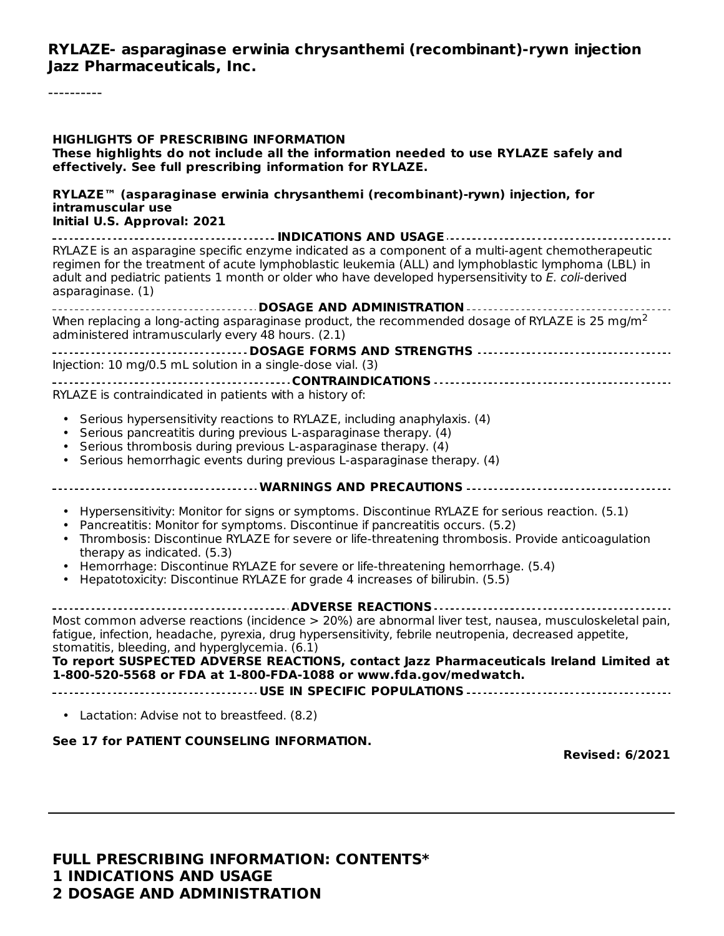**RYLAZE- asparaginase erwinia chrysanthemi (recombinant)-rywn injection Jazz Pharmaceuticals, Inc.**

----------

| <b>HIGHLIGHTS OF PRESCRIBING INFORMATION</b><br>These highlights do not include all the information needed to use RYLAZE safely and<br>effectively. See full prescribing information for RYLAZE.                                                                                                                                                                                                                                                                                        |  |  |  |  |
|-----------------------------------------------------------------------------------------------------------------------------------------------------------------------------------------------------------------------------------------------------------------------------------------------------------------------------------------------------------------------------------------------------------------------------------------------------------------------------------------|--|--|--|--|
| RYLAZE <sup>™</sup> (asparaginase erwinia chrysanthemi (recombinant)-rywn) injection, for<br>intramuscular use<br>Initial U.S. Approval: 2021                                                                                                                                                                                                                                                                                                                                           |  |  |  |  |
| RYLAZE is an asparagine specific enzyme indicated as a component of a multi-agent chemotherapeutic<br>regimen for the treatment of acute lymphoblastic leukemia (ALL) and lymphoblastic lymphoma (LBL) in<br>adult and pediatric patients 1 month or older who have developed hypersensitivity to E. coli-derived<br>asparaginase. (1)                                                                                                                                                  |  |  |  |  |
|                                                                                                                                                                                                                                                                                                                                                                                                                                                                                         |  |  |  |  |
| When replacing a long-acting asparaginase product, the recommended dosage of RYLAZE is 25 mg/m <sup>2</sup><br>administered intramuscularly every 48 hours. (2.1)                                                                                                                                                                                                                                                                                                                       |  |  |  |  |
|                                                                                                                                                                                                                                                                                                                                                                                                                                                                                         |  |  |  |  |
| Injection: 10 mg/0.5 mL solution in a single-dose vial. (3)                                                                                                                                                                                                                                                                                                                                                                                                                             |  |  |  |  |
|                                                                                                                                                                                                                                                                                                                                                                                                                                                                                         |  |  |  |  |
| RYLAZE is contraindicated in patients with a history of:                                                                                                                                                                                                                                                                                                                                                                                                                                |  |  |  |  |
| Serious hypersensitivity reactions to RYLAZE, including anaphylaxis. (4)<br>Serious pancreatitis during previous L-asparaginase therapy. (4)<br>• Serious thrombosis during previous L-asparaginase therapy. (4)<br>Serious hemorrhagic events during previous L-asparaginase therapy. (4)                                                                                                                                                                                              |  |  |  |  |
| ------------------------------------ WARNINGS AND PRECAUTIONS -------------------------------                                                                                                                                                                                                                                                                                                                                                                                           |  |  |  |  |
| Hypersensitivity: Monitor for signs or symptoms. Discontinue RYLAZE for serious reaction. (5.1)<br>Pancreatitis: Monitor for symptoms. Discontinue if pancreatitis occurs. (5.2)<br>Thrombosis: Discontinue RYLAZE for severe or life-threatening thrombosis. Provide anticoagulation<br>therapy as indicated. (5.3)<br>Hemorrhage: Discontinue RYLAZE for severe or life-threatening hemorrhage. (5.4)<br>Hepatotoxicity: Discontinue RYLAZE for grade 4 increases of bilirubin. (5.5) |  |  |  |  |
|                                                                                                                                                                                                                                                                                                                                                                                                                                                                                         |  |  |  |  |
| Most common adverse reactions (incidence > 20%) are abnormal liver test, nausea, musculoskeletal pain,<br>fatigue, infection, headache, pyrexia, drug hypersensitivity, febrile neutropenia, decreased appetite,<br>stomatitis, bleeding, and hyperglycemia. (6.1)<br>To report SUSPECTED ADVERSE REACTIONS, contact Jazz Pharmaceuticals Ireland Limited at<br>1-800-520-5568 or FDA at 1-800-FDA-1088 or www.fda.gov/medwatch.                                                        |  |  |  |  |
|                                                                                                                                                                                                                                                                                                                                                                                                                                                                                         |  |  |  |  |
| • Lactation: Advise not to breastfeed. (8.2)                                                                                                                                                                                                                                                                                                                                                                                                                                            |  |  |  |  |
| See 17 for PATIENT COUNSELING INFORMATION.<br><b>Revised: 6/2021</b>                                                                                                                                                                                                                                                                                                                                                                                                                    |  |  |  |  |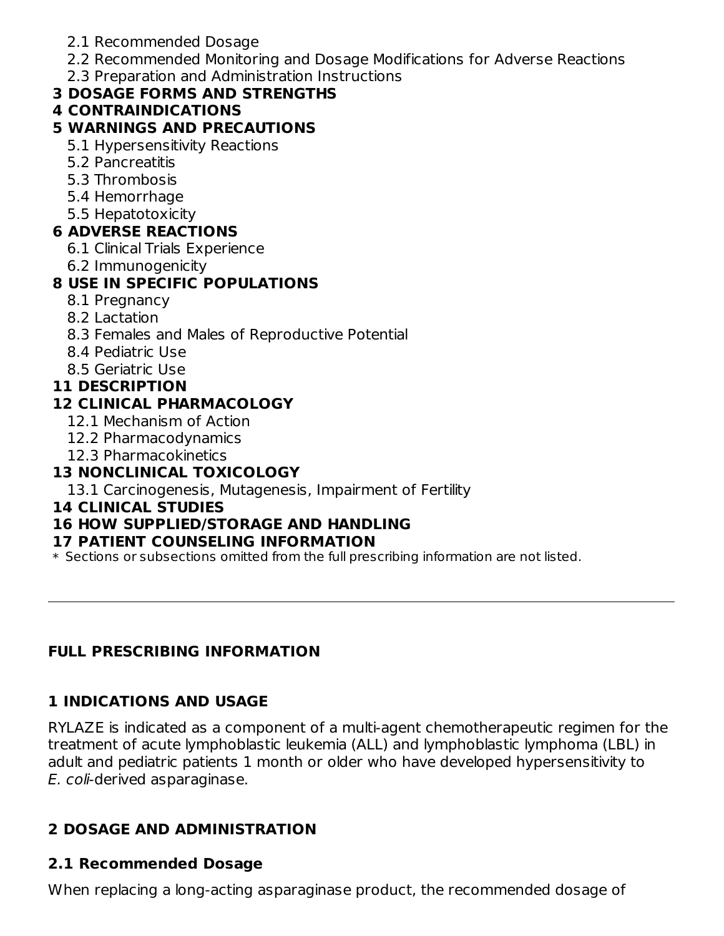- 2.1 Recommended Dosage
- 2.2 Recommended Monitoring and Dosage Modifications for Adverse Reactions
- 2.3 Preparation and Administration Instructions

# **3 DOSAGE FORMS AND STRENGTHS**

### **4 CONTRAINDICATIONS**

### **5 WARNINGS AND PRECAUTIONS**

- 5.1 Hypersensitivity Reactions
- 5.2 Pancreatitis
- 5.3 Thrombosis
- 5.4 Hemorrhage
- 5.5 Hepatotoxicity

### **6 ADVERSE REACTIONS**

- 6.1 Clinical Trials Experience
- 6.2 Immunogenicity

# **8 USE IN SPECIFIC POPULATIONS**

- 8.1 Pregnancy
- 8.2 Lactation
- 8.3 Females and Males of Reproductive Potential
- 8.4 Pediatric Use
- 8.5 Geriatric Use

### **11 DESCRIPTION**

# **12 CLINICAL PHARMACOLOGY**

- 12.1 Mechanism of Action
- 12.2 Pharmacodynamics
- 12.3 Pharmacokinetics

# **13 NONCLINICAL TOXICOLOGY**

13.1 Carcinogenesis, Mutagenesis, Impairment of Fertility

### **14 CLINICAL STUDIES**

# **16 HOW SUPPLIED/STORAGE AND HANDLING**

### **17 PATIENT COUNSELING INFORMATION**

\* Sections or subsections omitted from the full prescribing information are not listed.

# **FULL PRESCRIBING INFORMATION**

# **1 INDICATIONS AND USAGE**

RYLAZE is indicated as a component of a multi-agent chemotherapeutic regimen for the treatment of acute lymphoblastic leukemia (ALL) and lymphoblastic lymphoma (LBL) in adult and pediatric patients 1 month or older who have developed hypersensitivity to E. coli-derived asparaginase.

# **2 DOSAGE AND ADMINISTRATION**

# **2.1 Recommended Dosage**

When replacing a long-acting asparaginase product, the recommended dosage of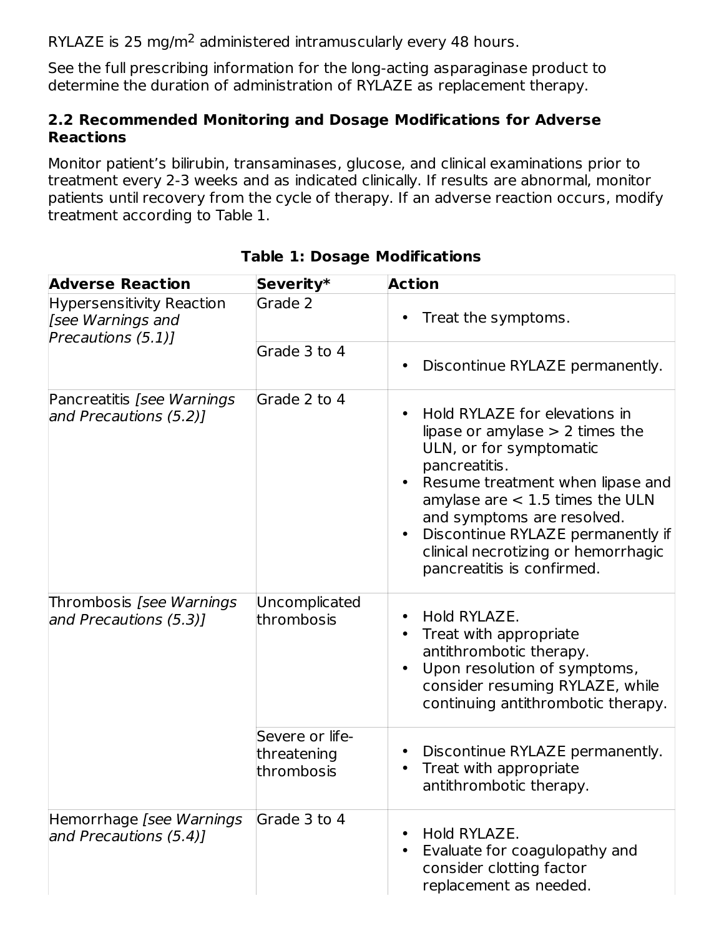RYLAZE is 25 mg/m<sup>2</sup> administered intramuscularly every 48 hours.

See the full prescribing information for the long-acting asparaginase product to determine the duration of administration of RYLAZE as replacement therapy.

### **2.2 Recommended Monitoring and Dosage Modifications for Adverse Reactions**

Monitor patient's bilirubin, transaminases, glucose, and clinical examinations prior to treatment every 2-3 weeks and as indicated clinically. If results are abnormal, monitor patients until recovery from the cycle of therapy. If an adverse reaction occurs, modify treatment according to Table 1.

| <b>Adverse Reaction</b>                                                     | Severity*                                    | <b>Action</b>                                                                                                                                                                                                                                                                                                                                                          |
|-----------------------------------------------------------------------------|----------------------------------------------|------------------------------------------------------------------------------------------------------------------------------------------------------------------------------------------------------------------------------------------------------------------------------------------------------------------------------------------------------------------------|
| <b>Hypersensitivity Reaction</b><br>[see Warnings and<br>Precautions (5.1)] | Grade 2                                      | Treat the symptoms.<br>٠                                                                                                                                                                                                                                                                                                                                               |
|                                                                             | Grade 3 to 4                                 | Discontinue RYLAZE permanently.<br>٠                                                                                                                                                                                                                                                                                                                                   |
| Pancreatitis [see Warnings]<br>and Precautions (5.2)]                       | Grade 2 to 4                                 | Hold RYLAZE for elevations in<br>$\bullet$<br>lipase or amylase $> 2$ times the<br>ULN, or for symptomatic<br>pancreatitis.<br>Resume treatment when lipase and<br>$\bullet$<br>amylase are $<$ 1.5 times the ULN<br>and symptoms are resolved.<br>Discontinue RYLAZE permanently if<br>$\bullet$<br>clinical necrotizing or hemorrhagic<br>pancreatitis is confirmed. |
| Thrombosis [see Warnings<br>and Precautions (5.3)]                          | Uncomplicated<br>thrombosis                  | Hold RYLAZE.<br>Treat with appropriate<br>antithrombotic therapy.<br>Upon resolution of symptoms,<br>$\bullet$<br>consider resuming RYLAZE, while<br>continuing antithrombotic therapy.                                                                                                                                                                                |
|                                                                             | Severe or life-<br>threatening<br>thrombosis | Discontinue RYLAZE permanently.<br>$\bullet$<br>Treat with appropriate<br>$\bullet$<br>antithrombotic therapy.                                                                                                                                                                                                                                                         |
| Hemorrhage [see Warnings]<br>and Precautions (5.4)1                         | Grade 3 to 4                                 | Hold RYLAZE.<br>$\bullet$<br>Evaluate for coagulopathy and<br>$\bullet$<br>consider clotting factor<br>replacement as needed.                                                                                                                                                                                                                                          |

### **Table 1: Dosage Modifications**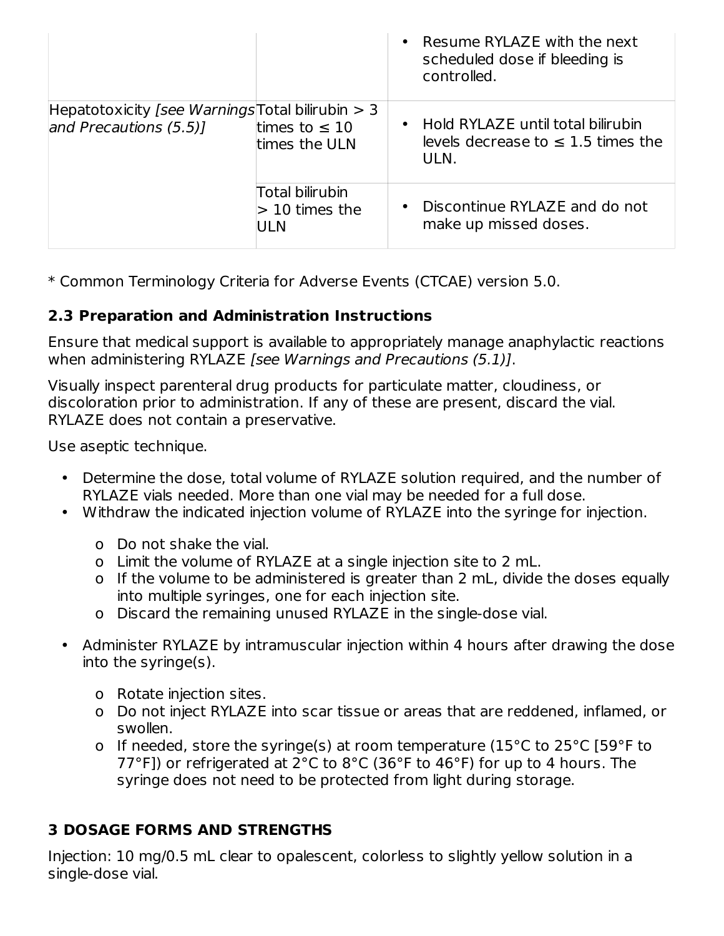|                                                                                 |                                            | Resume RYLAZE with the next<br>$\bullet$<br>scheduled dose if bleeding is<br>controlled.          |
|---------------------------------------------------------------------------------|--------------------------------------------|---------------------------------------------------------------------------------------------------|
| Hepatotoxicity [see Warnings Total bilirubin $>$ 3<br>and Precautions $(5.5)$ ] | times to $\leq 10$<br>times the ULN        | Hold RYLAZE until total bilirubin<br>$\bullet$<br>levels decrease to $\leq$ 1.5 times the<br>ULN. |
|                                                                                 | Total bilirubin<br>$> 10$ times the<br>ULN | Discontinue RYLAZE and do not<br>$\bullet$<br>make up missed doses.                               |

\* Common Terminology Criteria for Adverse Events (CTCAE) version 5.0.

### **2.3 Preparation and Administration Instructions**

Ensure that medical support is available to appropriately manage anaphylactic reactions when administering RYLAZE [see Warnings and Precautions (5.1)].

Visually inspect parenteral drug products for particulate matter, cloudiness, or discoloration prior to administration. If any of these are present, discard the vial. RYLAZE does not contain a preservative.

Use aseptic technique.

- Determine the dose, total volume of RYLAZE solution required, and the number of RYLAZE vials needed. More than one vial may be needed for a full dose.
- Withdraw the indicated injection volume of RYLAZE into the syringe for injection.
	- o Do not shake the vial.
	- o Limit the volume of RYLAZE at a single injection site to 2 mL.
	- o If the volume to be administered is greater than 2 mL, divide the doses equally into multiple syringes, one for each injection site.
	- o Discard the remaining unused RYLAZE in the single-dose vial.
- Administer RYLAZE by intramuscular injection within 4 hours after drawing the dose into the syringe(s).
	- o Rotate injection sites.
	- o Do not inject RYLAZE into scar tissue or areas that are reddened, inflamed, or swollen.
	- o If needed, store the syringe(s) at room temperature (15°C to 25°C [59°F to 77°F]) or refrigerated at 2°C to 8°C (36°F to 46°F) for up to 4 hours. The syringe does not need to be protected from light during storage.

# **3 DOSAGE FORMS AND STRENGTHS**

Injection: 10 mg/0.5 mL clear to opalescent, colorless to slightly yellow solution in a single-dose vial.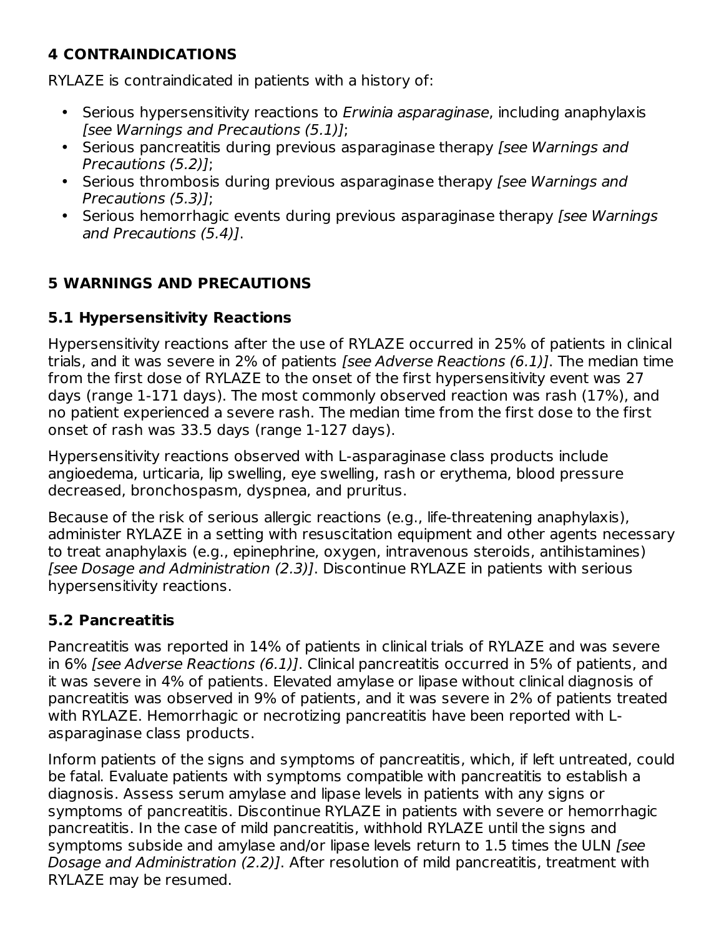# **4 CONTRAINDICATIONS**

RYLAZE is contraindicated in patients with a history of:

- Serious hypersensitivity reactions to *Erwinia asparaginase*, including anaphylaxis [see Warnings and Precautions (5.1)];
- Serious pancreatitis during previous asparaginase therapy [see Warnings and Precautions (5.2)];
- Serious thrombosis during previous asparaginase therapy [see Warnings and Precautions (5.3)];
- Serious hemorrhagic events during previous asparaginase therapy [see Warnings] and Precautions (5.4)].

# **5 WARNINGS AND PRECAUTIONS**

### **5.1 Hypersensitivity Reactions**

Hypersensitivity reactions after the use of RYLAZE occurred in 25% of patients in clinical trials, and it was severe in 2% of patients [see Adverse Reactions (6.1)]. The median time from the first dose of RYLAZE to the onset of the first hypersensitivity event was 27 days (range 1-171 days). The most commonly observed reaction was rash (17%), and no patient experienced a severe rash. The median time from the first dose to the first onset of rash was 33.5 days (range 1-127 days).

Hypersensitivity reactions observed with L-asparaginase class products include angioedema, urticaria, lip swelling, eye swelling, rash or erythema, blood pressure decreased, bronchospasm, dyspnea, and pruritus.

Because of the risk of serious allergic reactions (e.g., life-threatening anaphylaxis), administer RYLAZE in a setting with resuscitation equipment and other agents necessary to treat anaphylaxis (e.g., epinephrine, oxygen, intravenous steroids, antihistamines) [see Dosage and Administration (2.3)]. Discontinue RYLAZE in patients with serious hypersensitivity reactions.

### **5.2 Pancreatitis**

Pancreatitis was reported in 14% of patients in clinical trials of RYLAZE and was severe in 6% [see Adverse Reactions (6.1)]. Clinical pancreatitis occurred in 5% of patients, and it was severe in 4% of patients. Elevated amylase or lipase without clinical diagnosis of pancreatitis was observed in 9% of patients, and it was severe in 2% of patients treated with RYLAZE. Hemorrhagic or necrotizing pancreatitis have been reported with Lasparaginase class products.

Inform patients of the signs and symptoms of pancreatitis, which, if left untreated, could be fatal. Evaluate patients with symptoms compatible with pancreatitis to establish a diagnosis. Assess serum amylase and lipase levels in patients with any signs or symptoms of pancreatitis. Discontinue RYLAZE in patients with severe or hemorrhagic pancreatitis. In the case of mild pancreatitis, withhold RYLAZE until the signs and symptoms subside and amylase and/or lipase levels return to 1.5 times the ULN (see Dosage and Administration (2.2)]. After resolution of mild pancreatitis, treatment with RYLAZE may be resumed.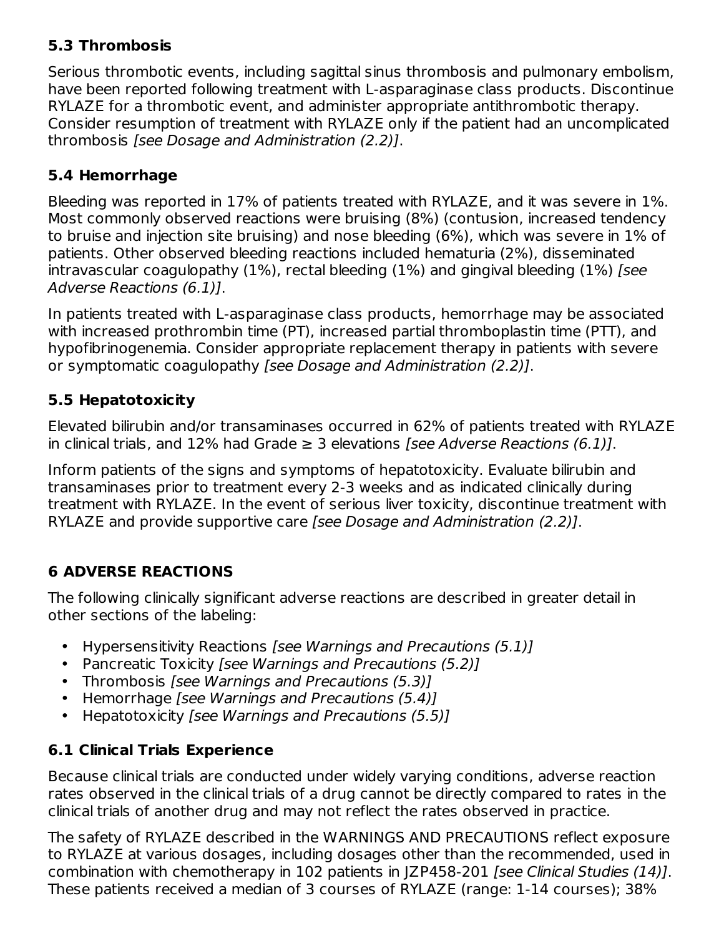### **5.3 Thrombosis**

Serious thrombotic events, including sagittal sinus thrombosis and pulmonary embolism, have been reported following treatment with L-asparaginase class products. Discontinue RYLAZE for a thrombotic event, and administer appropriate antithrombotic therapy. Consider resumption of treatment with RYLAZE only if the patient had an uncomplicated thrombosis [see Dosage and Administration (2.2)].

## **5.4 Hemorrhage**

Bleeding was reported in 17% of patients treated with RYLAZE, and it was severe in 1%. Most commonly observed reactions were bruising (8%) (contusion, increased tendency to bruise and injection site bruising) and nose bleeding (6%), which was severe in 1% of patients. Other observed bleeding reactions included hematuria (2%), disseminated intravascular coagulopathy (1%), rectal bleeding (1%) and gingival bleeding (1%) [see Adverse Reactions (6.1)].

In patients treated with L-asparaginase class products, hemorrhage may be associated with increased prothrombin time (PT), increased partial thromboplastin time (PTT), and hypofibrinogenemia. Consider appropriate replacement therapy in patients with severe or symptomatic coagulopathy [see Dosage and Administration (2.2)].

### **5.5 Hepatotoxicity**

Elevated bilirubin and/or transaminases occurred in 62% of patients treated with RYLAZE in clinical trials, and 12% had Grade  $\geq$  3 elevations *[see Adverse Reactions (6.1)]*.

Inform patients of the signs and symptoms of hepatotoxicity. Evaluate bilirubin and transaminases prior to treatment every 2-3 weeks and as indicated clinically during treatment with RYLAZE. In the event of serious liver toxicity, discontinue treatment with RYLAZE and provide supportive care [see Dosage and Administration (2.2)].

# **6 ADVERSE REACTIONS**

The following clinically significant adverse reactions are described in greater detail in other sections of the labeling:

- Hypersensitivity Reactions [see Warnings and Precautions (5.1)]
- Pancreatic Toxicity [see Warnings and Precautions (5.2)]
- Thrombosis [see Warnings and Precautions (5.3)]
- Hemorrhage [see Warnings and Precautions (5.4)]
- Hepatotoxicity [see Warnings and Precautions (5.5)]

### **6.1 Clinical Trials Experience**

Because clinical trials are conducted under widely varying conditions, adverse reaction rates observed in the clinical trials of a drug cannot be directly compared to rates in the clinical trials of another drug and may not reflect the rates observed in practice.

The safety of RYLAZE described in the WARNINGS AND PRECAUTIONS reflect exposure to RYLAZE at various dosages, including dosages other than the recommended, used in combination with chemotherapy in 102 patients in JZP458-201 [see Clinical Studies (14)]. These patients received a median of 3 courses of RYLAZE (range: 1-14 courses); 38%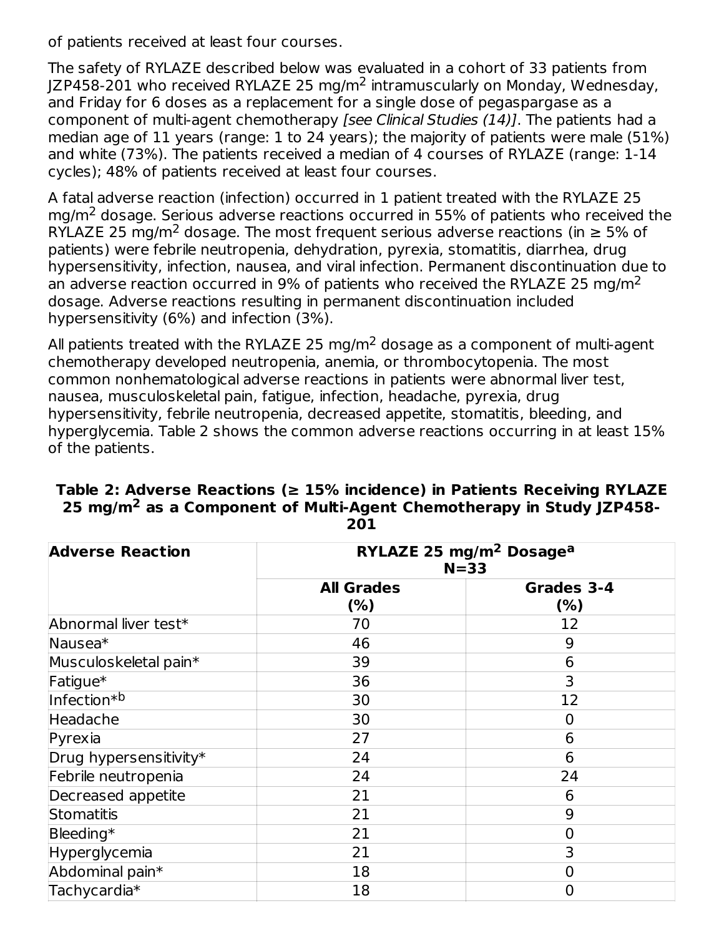of patients received at least four courses.

The safety of RYLAZE described below was evaluated in a cohort of 33 patients from JZP458-201 who received RYLAZE 25 mg/m<sup>2</sup> intramuscularly on Monday, Wednesday, and Friday for 6 doses as a replacement for a single dose of pegaspargase as a component of multi-agent chemotherapy [see Clinical Studies (14)]. The patients had a median age of 11 years (range: 1 to 24 years); the majority of patients were male (51%) and white (73%). The patients received a median of 4 courses of RYLAZE (range: 1-14 cycles); 48% of patients received at least four courses.

A fatal adverse reaction (infection) occurred in 1 patient treated with the RYLAZE 25 mg/m<sup>2</sup> dosage. Serious adverse reactions occurred in 55% of patients who received the RYLAZE 25 mg/m<sup>2</sup> dosage. The most frequent serious adverse reactions (in  $\geq 5\%$  of patients) were febrile neutropenia, dehydration, pyrexia, stomatitis, diarrhea, drug hypersensitivity, infection, nausea, and viral infection. Permanent discontinuation due to an adverse reaction occurred in 9% of patients who received the RYLAZE 25 mg/m<sup>2</sup> dosage. Adverse reactions resulting in permanent discontinuation included hypersensitivity (6%) and infection (3%).

All patients treated with the RYLAZE 25 mg/m<sup>2</sup> dosage as a component of multi-agent chemotherapy developed neutropenia, anemia, or thrombocytopenia. The most common nonhematological adverse reactions in patients were abnormal liver test, nausea, musculoskeletal pain, fatigue, infection, headache, pyrexia, drug hypersensitivity, febrile neutropenia, decreased appetite, stomatitis, bleeding, and hyperglycemia. Table 2 shows the common adverse reactions occurring in at least 15% of the patients.

| <b>Adverse Reaction</b> | RYLAZE 25 mg/m <sup>2</sup> Dosage <sup>a</sup><br>$N = 33$ |                    |  |  |
|-------------------------|-------------------------------------------------------------|--------------------|--|--|
|                         | <b>All Grades</b><br>(% )                                   | Grades 3-4<br>(% ) |  |  |
| Abnormal liver test*    | 70                                                          | 12                 |  |  |
| Nausea <sup>*</sup>     | 46                                                          | 9                  |  |  |
| Musculoskeletal pain*   | 39                                                          | 6                  |  |  |
| Fatigue*                | 36                                                          | 3                  |  |  |
| Infection <sup>*b</sup> | 30                                                          | 12                 |  |  |
| Headache                | 30                                                          | $\overline{0}$     |  |  |
| Pyrexia                 | 27                                                          | 6                  |  |  |
| Drug hypersensitivity*  | 24                                                          | 6                  |  |  |
| Febrile neutropenia     | 24                                                          | 24                 |  |  |
| Decreased appetite      | 21                                                          | 6                  |  |  |
| Stomatitis              | 21                                                          | 9                  |  |  |
| Bleeding*               | 21                                                          | $\overline{0}$     |  |  |
| Hyperglycemia           | 21                                                          | 3                  |  |  |
| Abdominal pain*         | 18                                                          | 0                  |  |  |
| Tachycardia*            | 18                                                          | $\overline{0}$     |  |  |

#### **Table 2: Adverse Reactions (≥ 15% incidence) in Patients Receiving RYLAZE 25 mg/m as a Component of Multi-Agent Chemotherapy in Study JZP458- 2 201**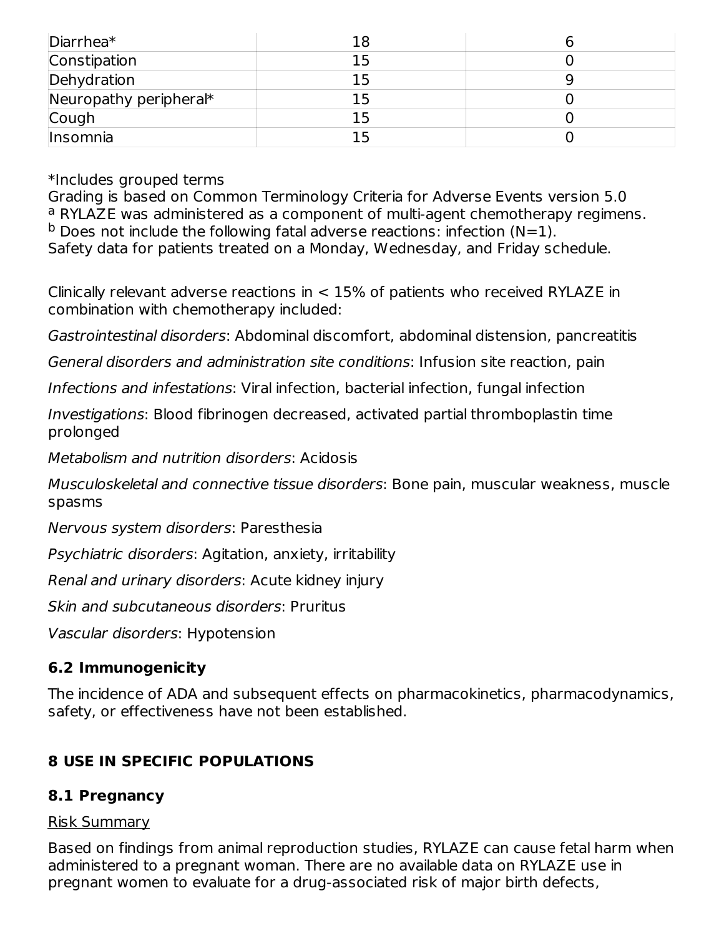| Diarrhea*              |  |
|------------------------|--|
| Constipation           |  |
| Dehydration            |  |
| Neuropathy peripheral* |  |
| Cough                  |  |
| Insomnia               |  |

\*Includes grouped terms

Grading is based on Common Terminology Criteria for Adverse Events version 5.0 <sup>a</sup> RYLAZE was administered as a component of multi-agent chemotherapy regimens.  $^{\text{b}}$  Does not include the following fatal adverse reactions: infection (N=1). Safety data for patients treated on a Monday, Wednesday, and Friday schedule.

Clinically relevant adverse reactions in  $<$  15% of patients who received RYLAZE in combination with chemotherapy included:

Gastrointestinal disorders: Abdominal discomfort, abdominal distension, pancreatitis

General disorders and administration site conditions: Infusion site reaction, pain

Infections and infestations: Viral infection, bacterial infection, fungal infection

Investigations: Blood fibrinogen decreased, activated partial thromboplastin time prolonged

Metabolism and nutrition disorders: Acidosis

Musculoskeletal and connective tissue disorders: Bone pain, muscular weakness, muscle spasms

Nervous system disorders: Paresthesia

Psychiatric disorders: Agitation, anxiety, irritability

Renal and urinary disorders: Acute kidney injury

Skin and subcutaneous disorders: Pruritus

Vascular disorders: Hypotension

# **6.2 Immunogenicity**

The incidence of ADA and subsequent effects on pharmacokinetics, pharmacodynamics, safety, or effectiveness have not been established.

# **8 USE IN SPECIFIC POPULATIONS**

# **8.1 Pregnancy**

### Risk Summary

Based on findings from animal reproduction studies, RYLAZE can cause fetal harm when administered to a pregnant woman. There are no available data on RYLAZE use in pregnant women to evaluate for a drug-associated risk of major birth defects,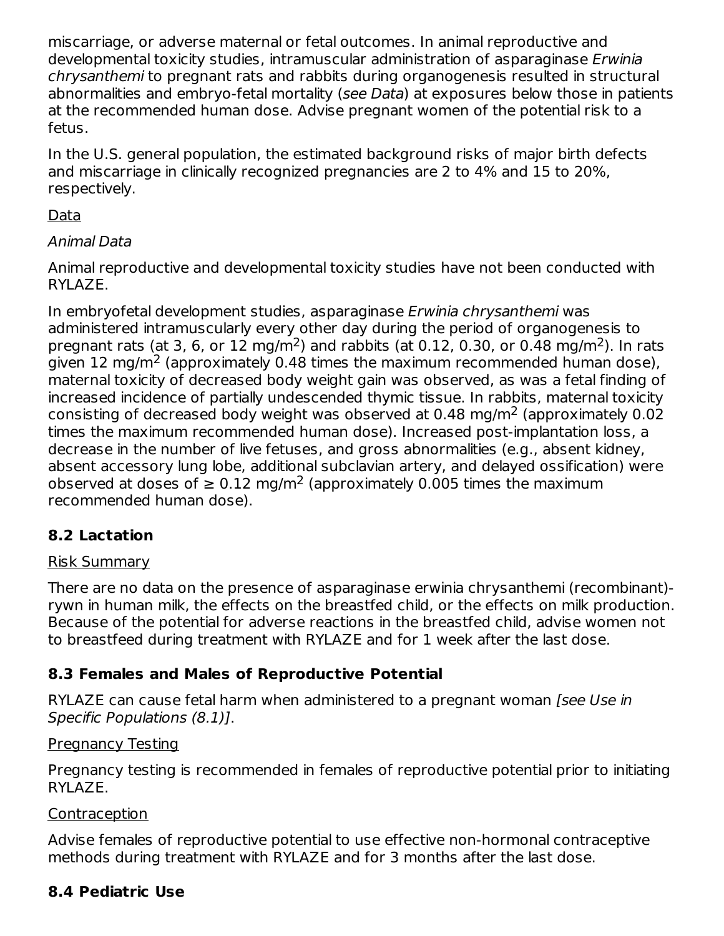miscarriage, or adverse maternal or fetal outcomes. In animal reproductive and developmental toxicity studies, intramuscular administration of asparaginase Erwinia chrysanthemi to pregnant rats and rabbits during organogenesis resulted in structural abnormalities and embryo-fetal mortality (see Data) at exposures below those in patients at the recommended human dose. Advise pregnant women of the potential risk to a fetus.

In the U.S. general population, the estimated background risks of major birth defects and miscarriage in clinically recognized pregnancies are 2 to 4% and 15 to 20%, respectively.

### Data

### Animal Data

Animal reproductive and developmental toxicity studies have not been conducted with RYLAZE.

In embryofetal development studies, asparaginase Erwinia chrysanthemi was administered intramuscularly every other day during the period of organogenesis to pregnant rats (at 3, 6, or 12 mg/m<sup>2</sup>) and rabbits (at 0.12, 0.30, or 0.48 mg/m<sup>2</sup>). In rats given 12 mg/m<sup>2</sup> (approximately 0.48 times the maximum recommended human dose), maternal toxicity of decreased body weight gain was observed, as was a fetal finding of increased incidence of partially undescended thymic tissue. In rabbits, maternal toxicity consisting of decreased body weight was observed at 0.48 mg/m<sup>2</sup> (approximately 0.02 times the maximum recommended human dose). Increased post-implantation loss, a decrease in the number of live fetuses, and gross abnormalities (e.g., absent kidney, absent accessory lung lobe, additional subclavian artery, and delayed ossification) were observed at doses of  $\geq 0.12$  mg/m<sup>2</sup> (approximately 0.005 times the maximum recommended human dose).

### **8.2 Lactation**

#### Risk Summary

There are no data on the presence of asparaginase erwinia chrysanthemi (recombinant) rywn in human milk, the effects on the breastfed child, or the effects on milk production. Because of the potential for adverse reactions in the breastfed child, advise women not to breastfeed during treatment with RYLAZE and for 1 week after the last dose.

### **8.3 Females and Males of Reproductive Potential**

RYLAZE can cause fetal harm when administered to a pregnant woman [see Use in Specific Populations (8.1)].

#### Pregnancy Testing

Pregnancy testing is recommended in females of reproductive potential prior to initiating RYLAZE.

#### Contraception

Advise females of reproductive potential to use effective non-hormonal contraceptive methods during treatment with RYLAZE and for 3 months after the last dose.

### **8.4 Pediatric Use**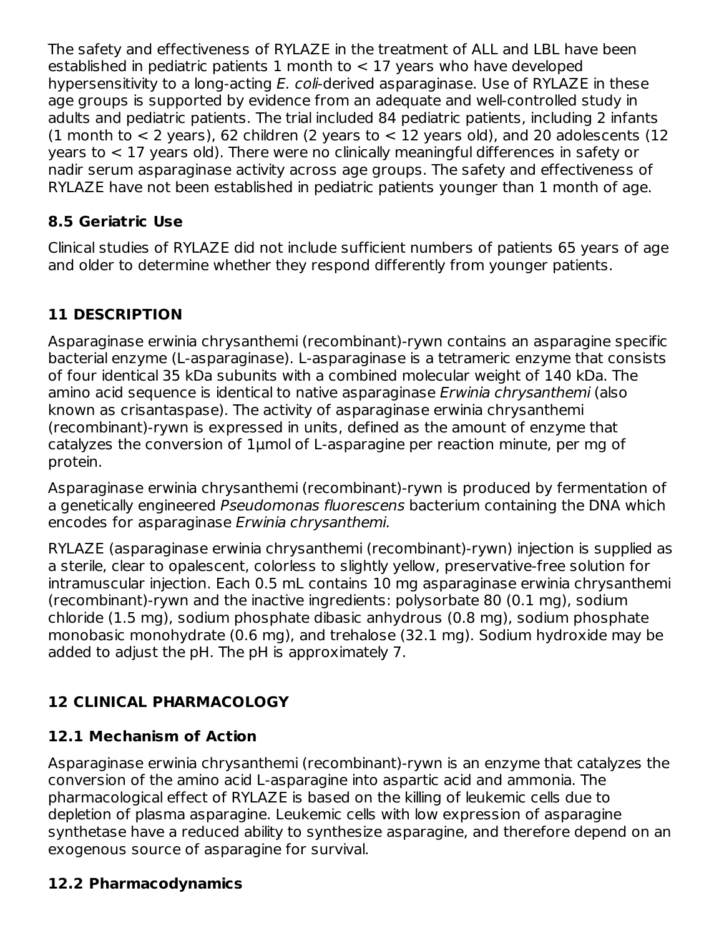The safety and effectiveness of RYLAZE in the treatment of ALL and LBL have been established in pediatric patients 1 month to  $<$  17 years who have developed hypersensitivity to a long-acting E. coli-derived asparaginase. Use of RYLAZE in these age groups is supported by evidence from an adequate and well-controlled study in adults and pediatric patients. The trial included 84 pediatric patients, including 2 infants (1 month to  $<$  2 years), 62 children (2 years to  $<$  12 years old), and 20 adolescents (12 years to < 17 years old). There were no clinically meaningful differences in safety or nadir serum asparaginase activity across age groups. The safety and effectiveness of RYLAZE have not been established in pediatric patients younger than 1 month of age.

# **8.5 Geriatric Use**

Clinical studies of RYLAZE did not include sufficient numbers of patients 65 years of age and older to determine whether they respond differently from younger patients.

# **11 DESCRIPTION**

Asparaginase erwinia chrysanthemi (recombinant)-rywn contains an asparagine specific bacterial enzyme (L-asparaginase). L-asparaginase is a tetrameric enzyme that consists of four identical 35 kDa subunits with a combined molecular weight of 140 kDa. The amino acid sequence is identical to native asparaginase Erwinia chrysanthemi (also known as crisantaspase). The activity of asparaginase erwinia chrysanthemi (recombinant)-rywn is expressed in units, defined as the amount of enzyme that catalyzes the conversion of 1μmol of L-asparagine per reaction minute, per mg of protein.

Asparaginase erwinia chrysanthemi (recombinant)-rywn is produced by fermentation of a genetically engineered Pseudomonas fluorescens bacterium containing the DNA which encodes for asparaginase Erwinia chrysanthemi.

RYLAZE (asparaginase erwinia chrysanthemi (recombinant)-rywn) injection is supplied as a sterile, clear to opalescent, colorless to slightly yellow, preservative-free solution for intramuscular injection. Each 0.5 mL contains 10 mg asparaginase erwinia chrysanthemi (recombinant)-rywn and the inactive ingredients: polysorbate 80 (0.1 mg), sodium chloride (1.5 mg), sodium phosphate dibasic anhydrous (0.8 mg), sodium phosphate monobasic monohydrate (0.6 mg), and trehalose (32.1 mg). Sodium hydroxide may be added to adjust the pH. The pH is approximately 7.

# **12 CLINICAL PHARMACOLOGY**

# **12.1 Mechanism of Action**

Asparaginase erwinia chrysanthemi (recombinant)-rywn is an enzyme that catalyzes the conversion of the amino acid L-asparagine into aspartic acid and ammonia. The pharmacological effect of RYLAZE is based on the killing of leukemic cells due to depletion of plasma asparagine. Leukemic cells with low expression of asparagine synthetase have a reduced ability to synthesize asparagine, and therefore depend on an exogenous source of asparagine for survival.

# **12.2 Pharmacodynamics**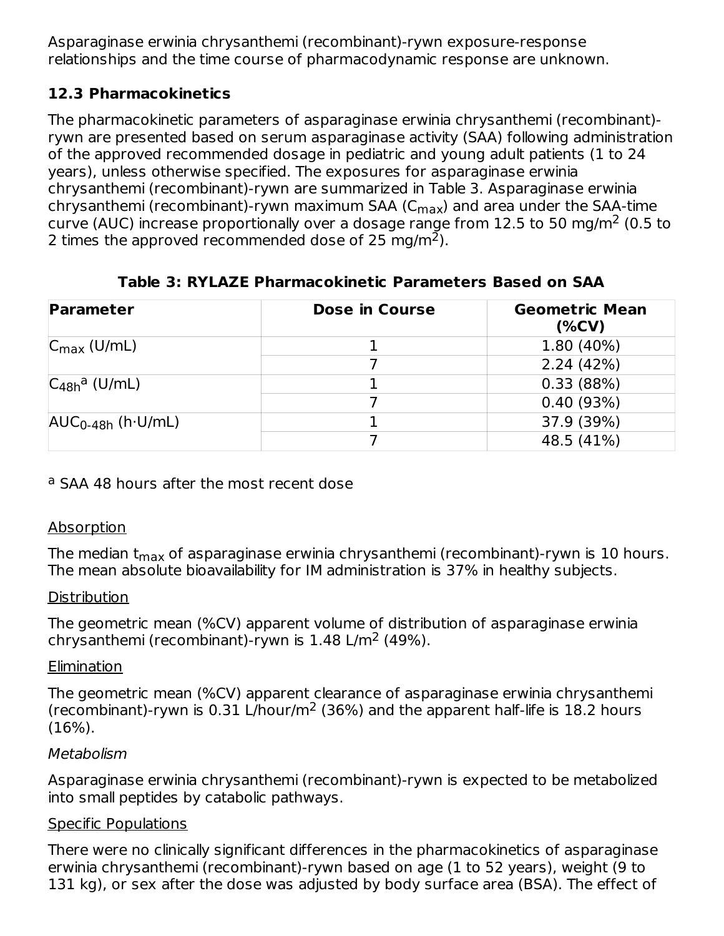Asparaginase erwinia chrysanthemi (recombinant)-rywn exposure-response relationships and the time course of pharmacodynamic response are unknown.

### **12.3 Pharmacokinetics**

The pharmacokinetic parameters of asparaginase erwinia chrysanthemi (recombinant) rywn are presented based on serum asparaginase activity (SAA) following administration of the approved recommended dosage in pediatric and young adult patients (1 to 24 years), unless otherwise specified. The exposures for asparaginase erwinia chrysanthemi (recombinant)-rywn are summarized in Table 3. Asparaginase erwinia chrysanthemi (recombinant)-rywn maximum SAA (C $_{\sf max}$ ) and area under the SAA-time curve (AUC) increase proportionally over a dosage range from 12.5 to 50 mg/m $^2$  (0.5 to 2 times the approved recommended dose of 25 mg/m<sup>2</sup>).

# **Table 3: RYLAZE Pharmacokinetic Parameters Based on SAA**

| <b>Parameter</b>              | <b>Dose in Course</b> | <b>Geometric Mean</b><br>$(\%CV)$ |
|-------------------------------|-----------------------|-----------------------------------|
| $C_{\text{max}}$ (U/mL)       |                       | 1.80 (40%)                        |
|                               |                       | 2.24(42%)                         |
| $C_{48h}$ <sup>a</sup> (U/mL) |                       | 0.33(88%)                         |
|                               |                       | 0.40(93%)                         |
| $AUC_{0-48h}$ (h·U/mL)        |                       | 37.9 (39%)                        |
|                               |                       | 48.5 (41%)                        |

# <sup>a</sup> SAA 48 hours after the most recent dose

# Absorption

The median t<sub>max</sub> of asparaginase erwinia chrysanthemi (recombinant)-rywn is 10 hours. The mean absolute bioavailability for IM administration is 37% in healthy subjects.

### **Distribution**

The geometric mean (%CV) apparent volume of distribution of asparaginase erwinia chrysanthemi (recombinant)-rywn is  $1.48 \text{ L/m}^2$  (49%).

### Elimination

The geometric mean (%CV) apparent clearance of asparaginase erwinia chrysanthemi (recombinant)-rywn is 0.31 L/hour/m<sup>2</sup> (36%) and the apparent half-life is 18.2 hours (16%).

### **Metabolism**

Asparaginase erwinia chrysanthemi (recombinant)-rywn is expected to be metabolized into small peptides by catabolic pathways.

### Specific Populations

There were no clinically significant differences in the pharmacokinetics of asparaginase erwinia chrysanthemi (recombinant)-rywn based on age (1 to 52 years), weight (9 to 131 kg), or sex after the dose was adjusted by body surface area (BSA). The effect of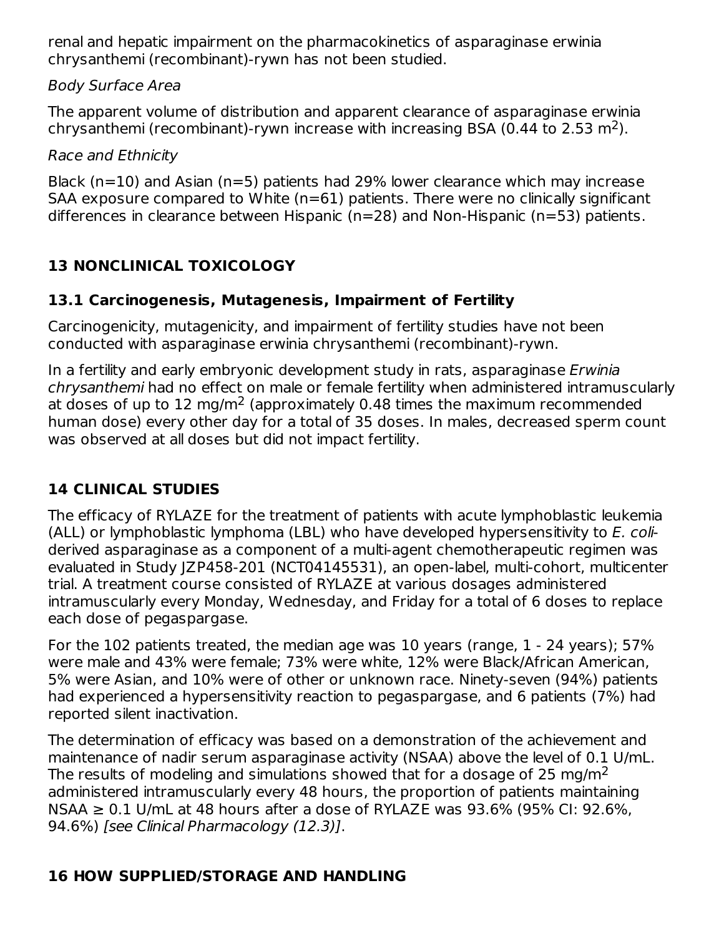renal and hepatic impairment on the pharmacokinetics of asparaginase erwinia chrysanthemi (recombinant)-rywn has not been studied.

### Body Surface Area

The apparent volume of distribution and apparent clearance of asparaginase erwinia chrysanthemi (recombinant)-rywn increase with increasing BSA (0.44 to 2.53 m<sup>2</sup>).

Race and Ethnicity

Black (n=10) and Asian (n=5) patients had 29% lower clearance which may increase SAA exposure compared to White (n=61) patients. There were no clinically significant differences in clearance between Hispanic (n=28) and Non-Hispanic (n=53) patients.

# **13 NONCLINICAL TOXICOLOGY**

### **13.1 Carcinogenesis, Mutagenesis, Impairment of Fertility**

Carcinogenicity, mutagenicity, and impairment of fertility studies have not been conducted with asparaginase erwinia chrysanthemi (recombinant)-rywn.

In a fertility and early embryonic development study in rats, asparaginase Erwinia chrysanthemi had no effect on male or female fertility when administered intramuscularly at doses of up to 12 mg/m<sup>2</sup> (approximately 0.48 times the maximum recommended human dose) every other day for a total of 35 doses. In males, decreased sperm count was observed at all doses but did not impact fertility.

# **14 CLINICAL STUDIES**

The efficacy of RYLAZE for the treatment of patients with acute lymphoblastic leukemia (ALL) or lymphoblastic lymphoma (LBL) who have developed hypersensitivity to E. coliderived asparaginase as a component of a multi-agent chemotherapeutic regimen was evaluated in Study JZP458-201 (NCT04145531), an open-label, multi-cohort, multicenter trial. A treatment course consisted of RYLAZE at various dosages administered intramuscularly every Monday, Wednesday, and Friday for a total of 6 doses to replace each dose of pegaspargase.

For the 102 patients treated, the median age was 10 years (range, 1 - 24 years); 57% were male and 43% were female; 73% were white, 12% were Black/African American, 5% were Asian, and 10% were of other or unknown race. Ninety-seven (94%) patients had experienced a hypersensitivity reaction to pegaspargase, and 6 patients (7%) had reported silent inactivation.

The determination of efficacy was based on a demonstration of the achievement and maintenance of nadir serum asparaginase activity (NSAA) above the level of 0.1 U/mL. The results of modeling and simulations showed that for a dosage of 25 mg/m $^{\mathsf{2}}$ administered intramuscularly every 48 hours, the proportion of patients maintaining  $NSAA \geq 0.1$  U/mL at 48 hours after a dose of RYLAZE was 93.6% (95% CI: 92.6%, 94.6%) [see Clinical Pharmacology (12.3)].

### **16 HOW SUPPLIED/STORAGE AND HANDLING**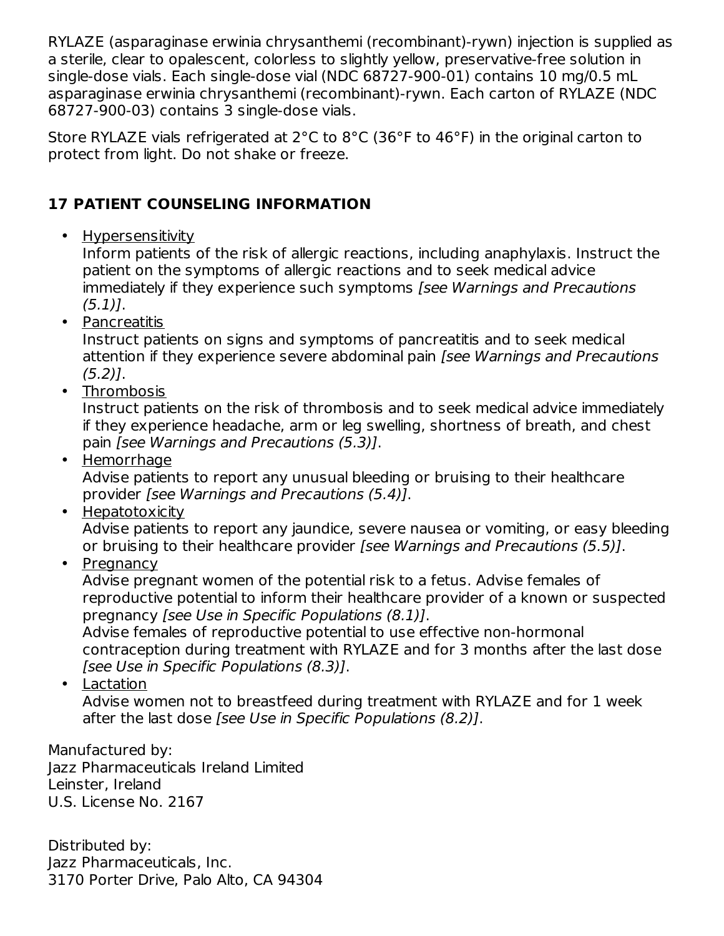RYLAZE (asparaginase erwinia chrysanthemi (recombinant)-rywn) injection is supplied as a sterile, clear to opalescent, colorless to slightly yellow, preservative-free solution in single-dose vials. Each single-dose vial (NDC 68727-900-01) contains 10 mg/0.5 mL asparaginase erwinia chrysanthemi (recombinant)-rywn. Each carton of RYLAZE (NDC 68727-900-03) contains 3 single-dose vials.

Store RYLAZE vials refrigerated at 2°C to 8°C (36°F to 46°F) in the original carton to protect from light. Do not shake or freeze.

# **17 PATIENT COUNSELING INFORMATION**

• Hypersensitivity

Inform patients of the risk of allergic reactions, including anaphylaxis. Instruct the patient on the symptoms of allergic reactions and to seek medical advice immediately if they experience such symptoms [see Warnings and Precautions  $(5.1)$ .

• Pancreatitis

Instruct patients on signs and symptoms of pancreatitis and to seek medical attention if they experience severe abdominal pain [see Warnings and Precautions  $(5.2)$ ].

• Thrombosis

Instruct patients on the risk of thrombosis and to seek medical advice immediately if they experience headache, arm or leg swelling, shortness of breath, and chest pain [see Warnings and Precautions (5.3)].

• Hemorrhage

Advise patients to report any unusual bleeding or bruising to their healthcare provider [see Warnings and Precautions (5.4)].

• Hepatotoxicity

Advise patients to report any jaundice, severe nausea or vomiting, or easy bleeding or bruising to their healthcare provider [see Warnings and Precautions (5.5)].

• Pregnancy

Advise pregnant women of the potential risk to a fetus. Advise females of reproductive potential to inform their healthcare provider of a known or suspected pregnancy [see Use in Specific Populations (8.1)].

Advise females of reproductive potential to use effective non-hormonal contraception during treatment with RYLAZE and for 3 months after the last dose [see Use in Specific Populations (8.3)].

• <u>Lactation</u>

Advise women not to breastfeed during treatment with RYLAZE and for 1 week after the last dose [see Use in Specific Populations (8.2)].

Manufactured by: Jazz Pharmaceuticals Ireland Limited Leinster, Ireland U.S. License No. 2167

Distributed by: Jazz Pharmaceuticals, Inc. 3170 Porter Drive, Palo Alto, CA 94304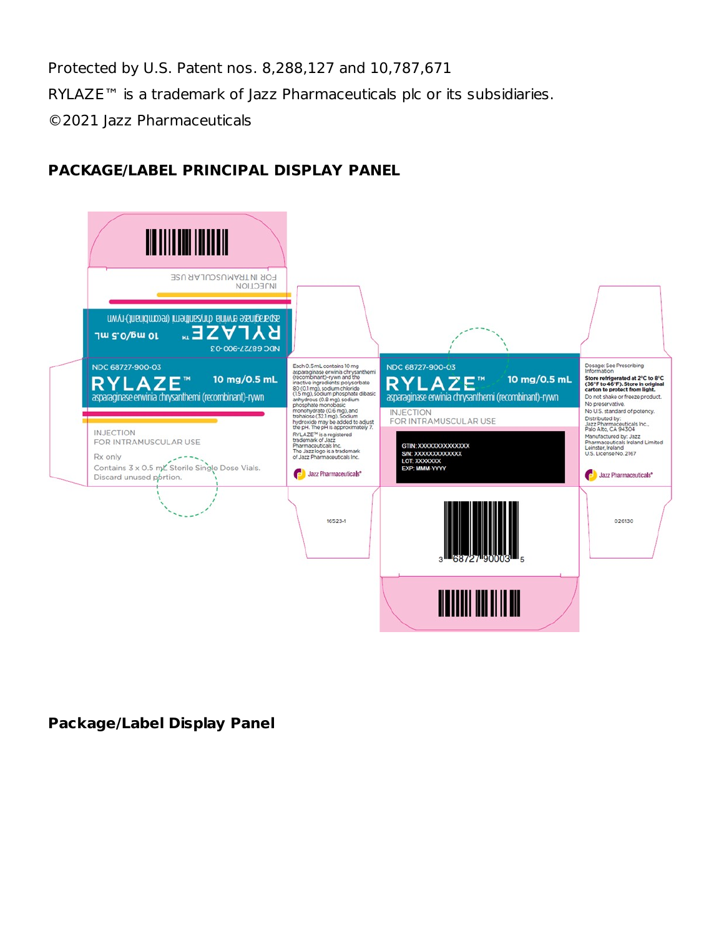Protected by U.S. Patent nos. 8,288,127 and 10,787,671

RYLAZE™ is a trademark of Jazz Pharmaceuticals plc or its subsidiaries.

©2021 Jazz Pharmaceuticals

### **PACKAGE/LABEL PRINCIPAL DISPLAY PANEL**



#### **Package/Label Display Panel**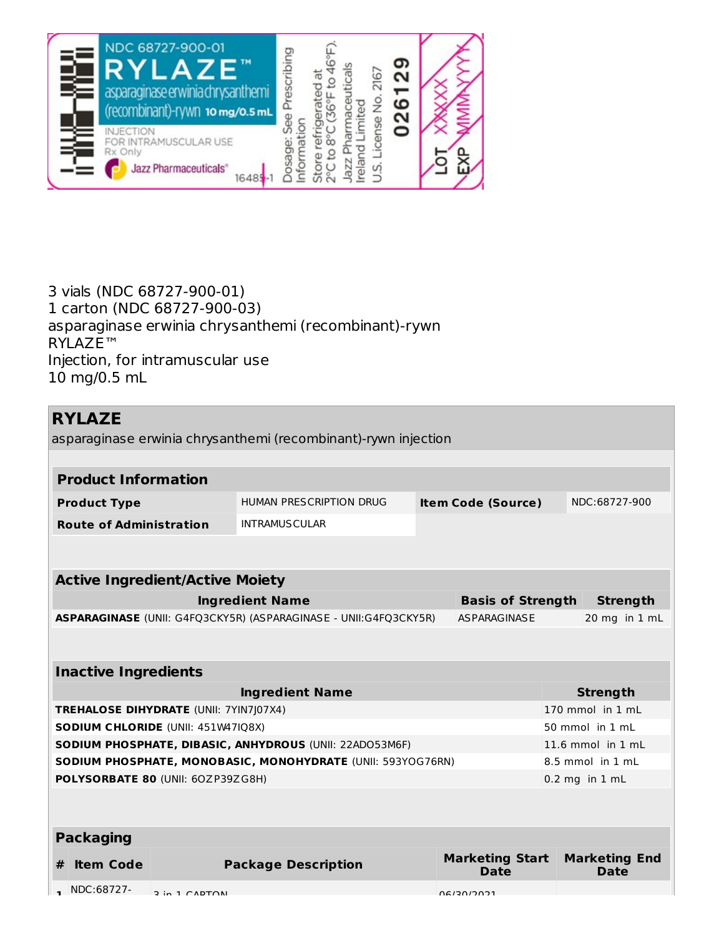

3 vials (NDC 68727-900-01) 1 carton (NDC 68727-900-03) asparaginase erwinia chrysanthemi (recombinant)-rywn RYLAZE™ Injection, for intramuscular use 10 mg/0.5 mL

# **RYLAZE**

asparaginase erwinia chrysanthemi (recombinant)-rywn injection

| <b>Product Information</b>                              |  |                                                                  |                           |                          |                   |                      |
|---------------------------------------------------------|--|------------------------------------------------------------------|---------------------------|--------------------------|-------------------|----------------------|
| <b>Product Type</b>                                     |  | <b>HUMAN PRESCRIPTION DRUG</b>                                   | <b>Item Code (Source)</b> |                          | NDC:68727-900     |                      |
| <b>Route of Administration</b>                          |  | <b>INTRAMUSCULAR</b>                                             |                           |                          |                   |                      |
|                                                         |  |                                                                  |                           |                          |                   |                      |
| <b>Active Ingredient/Active Moiety</b>                  |  |                                                                  |                           |                          |                   |                      |
|                                                         |  | <b>Ingredient Name</b>                                           |                           | <b>Basis of Strength</b> |                   | <b>Strength</b>      |
|                                                         |  | ASPARAGINASE (UNII: G4FQ3CKY5R) (ASPARAGINASE - UNII:G4FQ3CKY5R) |                           | <b>AS PARAGINASE</b>     |                   | 20 mg in 1 mL        |
|                                                         |  |                                                                  |                           |                          |                   |                      |
| <b>Inactive Ingredients</b>                             |  |                                                                  |                           |                          |                   |                      |
|                                                         |  | <b>Ingredient Name</b>                                           |                           |                          |                   | <b>Strength</b>      |
| TREHALOSE DIHYDRATE (UNII: 7YIN7J07X4)                  |  |                                                                  |                           |                          |                   | 170 mmol in 1 mL     |
| <b>SODIUM CHLORIDE (UNII: 451W47IQ8X)</b>               |  |                                                                  |                           | 50 mmol in 1 mL          |                   |                      |
| SODIUM PHOSPHATE, DIBASIC, ANHYDROUS (UNII: 22ADO53M6F) |  |                                                                  |                           |                          | 11.6 mmol in 1 mL |                      |
|                                                         |  | SODIUM PHOSPHATE, MONOBASIC, MONOHYDRATE (UNII: 593YOG76RN)      |                           |                          |                   | 8.5 mmol in 1 mL     |
| POLYSORBATE 80 (UNII: 60ZP39ZG8H)                       |  |                                                                  |                           |                          |                   | $0.2$ mg in $1$ mL   |
|                                                         |  |                                                                  |                           |                          |                   |                      |
| <b>Packaging</b>                                        |  |                                                                  |                           |                          |                   |                      |
| <b>Item Code</b><br>#                                   |  | <b>Package Description</b>                                       |                           | <b>Marketing Start</b>   |                   | <b>Marketing End</b> |

**Date**